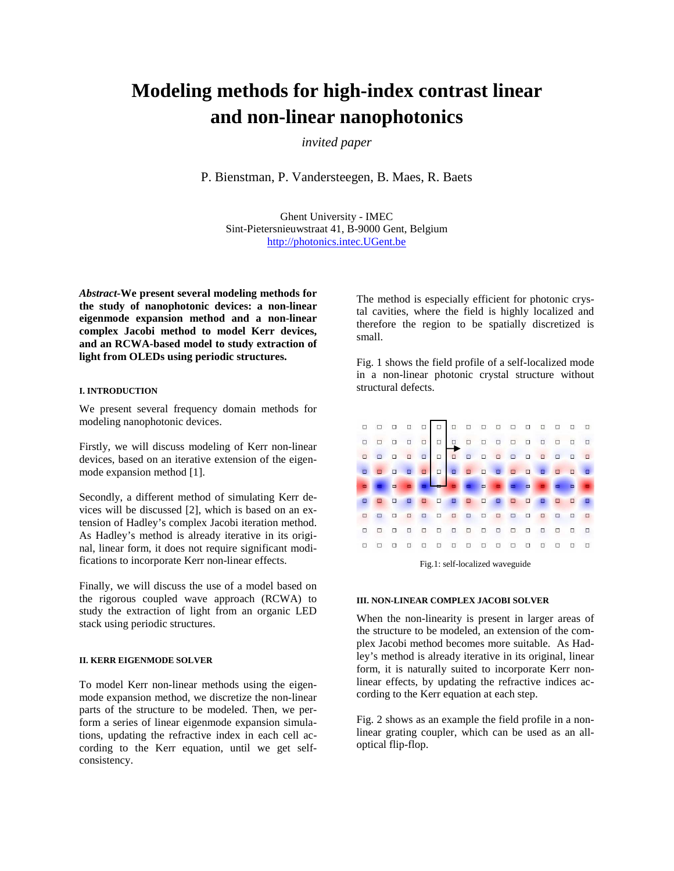# **Modeling methods for high-index contrast linear and non-linear nanophotonics**

*invited paper* 

P. Bienstman, P. Vandersteegen, B. Maes, R. Baets

Ghent University - IMEC Sint-Pietersnieuwstraat 41, B-9000 Gent, Belgium http://photonics.intec.UGent.be

*Abstract-***We present several modeling methods for the study of nanophotonic devices: a non-linear eigenmode expansion method and a non-linear complex Jacobi method to model Kerr devices, and an RCWA-based model to study extraction of light from OLEDs using periodic structures.**

#### **I. INTRODUCTION**

We present several frequency domain methods for modeling nanophotonic devices.

Firstly, we will discuss modeling of Kerr non-linear devices, based on an iterative extension of the eigenmode expansion method [1].

Secondly, a different method of simulating Kerr devices will be discussed [2], which is based on an extension of Hadley's complex Jacobi iteration method. As Hadley's method is already iterative in its original, linear form, it does not require significant modifications to incorporate Kerr non-linear effects.

Finally, we will discuss the use of a model based on the rigorous coupled wave approach (RCWA) to study the extraction of light from an organic LED stack using periodic structures.

#### **II. KERR EIGENMODE SOLVER**

To model Kerr non-linear methods using the eigenmode expansion method, we discretize the non-linear parts of the structure to be modeled. Then, we perform a series of linear eigenmode expansion simulations, updating the refractive index in each cell according to the Kerr equation, until we get selfconsistency.

The method is especially efficient for photonic crystal cavities, where the field is highly localized and therefore the region to be spatially discretized is small.

Fig. 1 shows the field profile of a self-localized mode in a non-linear photonic crystal structure without structural defects.



Fig.1: self-localized waveguide

#### **III. NON-LINEAR COMPLEX JACOBI SOLVER**

When the non-linearity is present in larger areas of the structure to be modeled, an extension of the complex Jacobi method becomes more suitable. As Hadley's method is already iterative in its original, linear form, it is naturally suited to incorporate Kerr nonlinear effects, by updating the refractive indices according to the Kerr equation at each step.

Fig. 2 shows as an example the field profile in a nonlinear grating coupler, which can be used as an alloptical flip-flop.